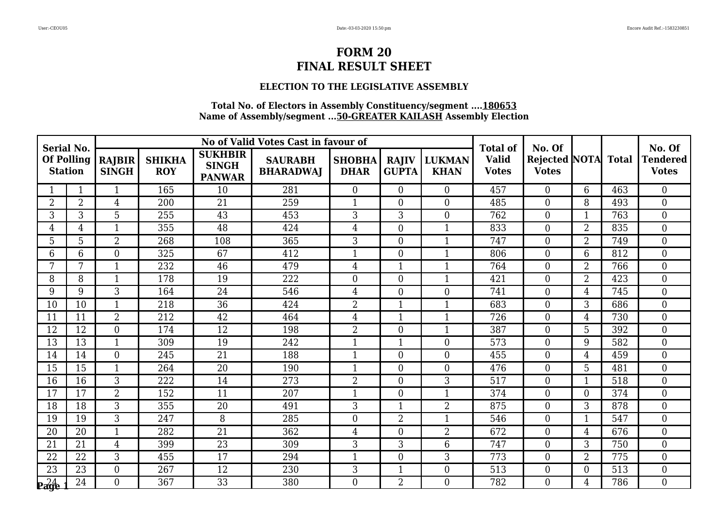#### **ELECTION TO THE LEGISLATIVE ASSEMBLY**

| <b>Serial No.</b>                   |                |                        |                             |                                                 | No of Valid Votes Cast in favour of |                              |                              |                              | <b>Total of</b>              | No. Of                                     |                |                  | No. Of                          |
|-------------------------------------|----------------|------------------------|-----------------------------|-------------------------------------------------|-------------------------------------|------------------------------|------------------------------|------------------------------|------------------------------|--------------------------------------------|----------------|------------------|---------------------------------|
| <b>Of Polling</b><br><b>Station</b> |                | RAJBIR<br><b>SINGH</b> | <b>SHIKHA</b><br><b>ROY</b> | <b>SUKHBIR</b><br><b>SINGH</b><br><b>PANWAR</b> | <b>SAURABH</b><br><b>BHARADWAJ</b>  | <b>SHOBHA</b><br><b>DHAR</b> | <b>RAJIV</b><br><b>GUPTA</b> | <b>LUKMAN</b><br><b>KHAN</b> | <b>Valid</b><br><b>Votes</b> | <b>Rejected NOTA</b> Total<br><b>Votes</b> |                |                  | <b>Tendered</b><br><b>Votes</b> |
|                                     |                | 1                      | 165                         | 10                                              | 281                                 | $\overline{0}$               | $\overline{0}$               | $\overline{0}$               | 457                          | $\overline{0}$                             | 6              | 463              | $\overline{0}$                  |
| $\overline{2}$                      | $\overline{2}$ | 4                      | 200                         | 21                                              | 259                                 | $\mathbf{1}$                 | $\overline{0}$               | $\Omega$                     | 485                          | $\overline{0}$                             | 8              | 493              | $\overline{0}$                  |
| 3                                   | 3              | 5                      | 255                         | 43                                              | 453                                 | 3                            | 3                            | $\theta$                     | 762                          | $\boldsymbol{0}$                           | 1              | 763              | $\overline{0}$                  |
| 4                                   | $\overline{4}$ | 1                      | 355                         | 48                                              | 424                                 | $\overline{4}$               | $\theta$                     | $\mathbf{1}$                 | 833                          | $\boldsymbol{0}$                           | $\overline{2}$ | 835              | $\overline{0}$                  |
| 5                                   | 5              | 2                      | 268                         | 108                                             | 365                                 | 3                            | $\overline{0}$               | -1                           | 747                          | $\boldsymbol{0}$                           | 2              | 749              | $\overline{0}$                  |
| 6                                   | 6              | $\overline{0}$         | 325                         | 67                                              | 412                                 | $\mathbf{1}$                 | $\boldsymbol{0}$             | $\mathbf{1}$                 | 806                          | $\boldsymbol{0}$                           | 6              | 812              | $\boldsymbol{0}$                |
| 7                                   | 7              | $\mathbf{1}$           | 232                         | 46                                              | 479                                 | $\overline{4}$               | $\mathbf{1}$                 | $\mathbf{1}$                 | 764                          | $\boldsymbol{0}$                           | $\overline{2}$ | 766              | $\mathbf{0}$                    |
| 8                                   | 8              | 1                      | 178                         | 19                                              | 222                                 | $\overline{0}$               | $\overline{0}$               |                              | 421                          | $\overline{0}$                             | $\overline{2}$ | 423              | $\overline{0}$                  |
| 9                                   | 9              | $\overline{3}$         | 164                         | $\overline{24}$                                 | $\overline{546}$                    | $\overline{4}$               | $\mathbf{0}$                 | $\theta$                     | 741                          | $\mathbf{0}$                               | 4              | 745              | $\mathbf{0}$                    |
| 10                                  | 10             | $\mathbf{1}$           | 218                         | $\overline{36}$                                 | 424                                 | $\overline{2}$               | $\mathbf{1}$                 | $\mathbf{1}$                 | 683                          | $\overline{0}$                             | 3              | 686              | $\overline{0}$                  |
| 11                                  | 11             | $\overline{2}$         | 212                         | 42                                              | 464                                 | $\overline{4}$               | $\mathbf{1}$                 | $\mathbf{1}$                 | 726                          | $\boldsymbol{0}$                           | 4              | 730              | $\overline{0}$                  |
| 12                                  | 12             | $\overline{0}$         | 174                         | 12                                              | 198                                 | $\overline{2}$               | $\overline{0}$               | $\mathbf{1}$                 | 387                          | $\boldsymbol{0}$                           | 5              | 392              | $\mathbf{0}$                    |
| 13                                  | 13             | $\mathbf{1}$           | 309                         | 19                                              | 242                                 | $\mathbf{1}$                 | $\mathbf{1}$                 | $\Omega$                     | 573                          | $\boldsymbol{0}$                           | 9              | 582              | $\overline{0}$                  |
| 14                                  | 14             | $\overline{0}$         | 245                         | 21                                              | 188                                 | $\mathbf{1}$                 | $\overline{0}$               | $\Omega$                     | 455                          | $\boldsymbol{0}$                           | $\overline{4}$ | 459              | $\boldsymbol{0}$                |
| 15                                  | 15             | 1                      | 264                         | 20                                              | 190                                 | $\overline{1}$               | $\overline{0}$               | $\overline{0}$               | 476                          | $\boldsymbol{0}$                           | 5              | 481              | $\overline{0}$                  |
| 16                                  | 16             | 3                      | 222                         | 14                                              | 273                                 | $\overline{2}$               | $\theta$                     | 3                            | 517                          | $\boldsymbol{0}$                           | $\mathbf{1}$   | 518              | $\overline{0}$                  |
| 17                                  | 17             | $\overline{2}$         | 152                         | 11                                              | 207                                 | $\mathbf{1}$                 | $\overline{0}$               | $\mathbf{1}$                 | 374                          | $\boldsymbol{0}$                           | $\overline{0}$ | 374              | $\overline{0}$                  |
| 18                                  | 18             | $\overline{3}$         | 355                         | $\overline{20}$                                 | 491                                 | 3                            | $\mathbf{1}$                 | $\overline{2}$               | 875                          | $\overline{0}$                             | 3              | 878              | $\theta$                        |
| 19                                  | 19             | 3                      | 247                         | 8                                               | 285                                 | $\boldsymbol{0}$             | $\overline{2}$               | -1                           | 546                          | $\boldsymbol{0}$                           |                | 547              | $\boldsymbol{0}$                |
| 20                                  | 20             | 1                      | 282                         | 21                                              | 362                                 | $\overline{4}$               | $\overline{0}$               | $\overline{2}$               | 672                          | $\boldsymbol{0}$                           | 4              | 676              | $\boldsymbol{0}$                |
| 21                                  | 21             | $\overline{4}$         | 399                         | 23                                              | 309                                 | 3                            | 3                            | 6                            | 747                          | $\overline{0}$                             | 3              | 750              | $\overline{0}$                  |
| 22                                  | 22             | 3                      | 455                         | 17                                              | 294                                 | $\mathbf{1}$                 | $\overline{0}$               | 3                            | 773                          | $\boldsymbol{0}$                           | 2              | 775              | $\boldsymbol{0}$                |
| 23                                  | 23             | $\overline{0}$         | 267                         | 12                                              | 230                                 | 3                            | $\mathbf{1}$                 | $\overline{0}$               | 513                          | $\boldsymbol{0}$                           | $\overline{0}$ | $\overline{513}$ | $\mathbf{0}$                    |
| 24                                  | 24             | $\Omega$               | 367                         | 33                                              | 380                                 | $\Omega$                     | $\overline{2}$               | $\Omega$                     | 782                          | $\Omega$                                   | 4              | 786              | $\theta$                        |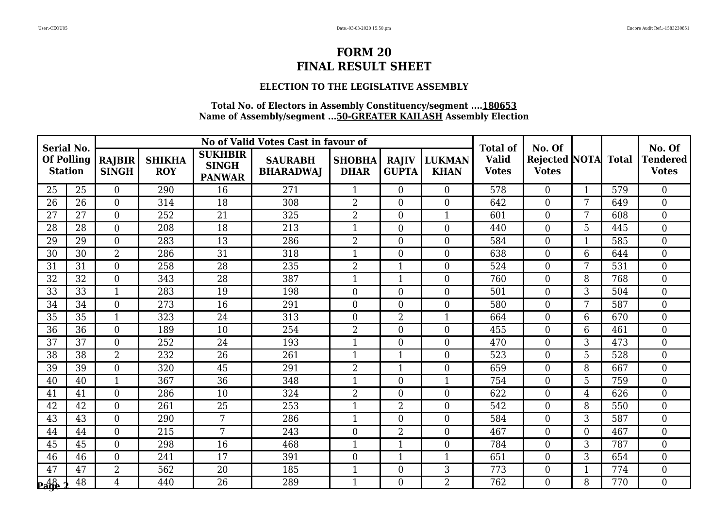#### **ELECTION TO THE LEGISLATIVE ASSEMBLY**

| <b>Serial No.</b>   |                   |                               |                             |                                                 | No of Valid Votes Cast in favour of |                              |                              |                              | <b>Total of</b>              | No. Of                                     |                |     | No. Of                          |
|---------------------|-------------------|-------------------------------|-----------------------------|-------------------------------------------------|-------------------------------------|------------------------------|------------------------------|------------------------------|------------------------------|--------------------------------------------|----------------|-----|---------------------------------|
| <b>Station</b>      | <b>Of Polling</b> | <b>RAJBIR</b><br><b>SINGH</b> | <b>SHIKHA</b><br><b>ROY</b> | <b>SUKHBIR</b><br><b>SINGH</b><br><b>PANWAR</b> | <b>SAURABH</b><br><b>BHARADWAJ</b>  | <b>SHOBHA</b><br><b>DHAR</b> | <b>RAJIV</b><br><b>GUPTA</b> | <b>LUKMAN</b><br><b>KHAN</b> | <b>Valid</b><br><b>Votes</b> | <b>Rejected NOTA</b> Total<br><b>Votes</b> |                |     | <b>Tendered</b><br><b>Votes</b> |
| 25                  | 25                | $\overline{0}$                | 290                         | 16                                              | 271                                 | $\mathbf{1}$                 | $\overline{0}$               | $\overline{0}$               | 578                          | $\overline{0}$                             | $\mathbf{1}$   | 579 | $\overline{0}$                  |
| 26                  | 26                | $\overline{0}$                | 314                         | 18                                              | 308                                 | $\overline{2}$               | $\overline{0}$               | $\Omega$                     | 642                          | $\overline{0}$                             | 7              | 649 | $\overline{0}$                  |
| 27                  | 27                | $\Omega$                      | 252                         | 21                                              | 325                                 | $\overline{2}$               | $\overline{0}$               | $\mathbf{1}$                 | 601                          | $\boldsymbol{0}$                           | 7              | 608 | $\overline{0}$                  |
| 28                  | 28                | $\overline{0}$                | 208                         | 18                                              | 213                                 | $\mathbf{1}$                 | $\theta$                     | $\Omega$                     | 440                          | $\boldsymbol{0}$                           | 5              | 445 | $\overline{0}$                  |
| 29                  | 29                | $\overline{0}$                | 283                         | 13                                              | 286                                 | $\overline{2}$               | $\theta$                     | $\overline{0}$               | 584                          | $\boldsymbol{0}$                           | 1              | 585 | $\overline{0}$                  |
| 30                  | 30                | $\overline{2}$                | 286                         | 31                                              | 318                                 | $\mathbf{1}$                 | $\boldsymbol{0}$             | $\overline{0}$               | 638                          | $\boldsymbol{0}$                           | 6              | 644 | $\boldsymbol{0}$                |
| 31                  | 31                | $\overline{0}$                | 258                         | 28                                              | 235                                 | $\overline{2}$               | $\mathbf{1}$                 | $\theta$                     | 524                          | $\boldsymbol{0}$                           | 7              | 531 | $\overline{0}$                  |
| 32                  | 32                | $\overline{0}$                | 343                         | 28                                              | 387                                 | $\overline{1}$               | $\mathbf{1}$                 | $\overline{0}$               | 760                          | $\overline{0}$                             | 8              | 768 | $\overline{0}$                  |
| 33                  | $\overline{33}$   | $\mathbf{1}$                  | 283                         | 19                                              | 198                                 | $\overline{0}$               | $\overline{0}$               | $\theta$                     | 501                          | $\boldsymbol{0}$                           | $\overline{3}$ | 504 | $\overline{0}$                  |
| 34                  | 34                | $\Omega$                      | 273                         | 16                                              | 291                                 | $\overline{0}$               | $\Omega$                     | $\Omega$                     | 580                          | $\overline{0}$                             | 7              | 587 | $\overline{0}$                  |
| 35                  | 35                | 1                             | 323                         | 24                                              | 313                                 | $\overline{0}$               | $\overline{2}$               | $\mathbf{1}$                 | 664                          | $\boldsymbol{0}$                           | 6              | 670 | $\overline{0}$                  |
| 36                  | 36                | $\overline{0}$                | 189                         | 10                                              | 254                                 | $\overline{2}$               | $\boldsymbol{0}$             | $\theta$                     | 455                          | $\boldsymbol{0}$                           | 6              | 461 | $\mathbf{0}$                    |
| 37                  | 37                | $\Omega$                      | 252                         | 24                                              | 193                                 | $\mathbf{1}$                 | $\theta$                     | $\theta$                     | 470                          | $\boldsymbol{0}$                           | 3              | 473 | $\overline{0}$                  |
| 38                  | 38                | $\overline{2}$                | 232                         | 26                                              | 261                                 | $\mathbf{1}$                 | $\mathbf{1}$                 | $\Omega$                     | 523                          | $\boldsymbol{0}$                           | 5              | 528 | $\boldsymbol{0}$                |
| 39                  | 39                | $\overline{0}$                | 320                         | 45                                              | 291                                 | $\overline{2}$               | $\mathbf{1}$                 | $\overline{0}$               | 659                          | $\overline{0}$                             | 8              | 667 | $\overline{0}$                  |
| 40                  | 40                | $\mathbf{1}$                  | 367                         | 36                                              | 348                                 | $\mathbf{1}$                 | $\theta$                     | 1                            | 754                          | $\overline{0}$                             | 5              | 759 | $\overline{0}$                  |
| 41                  | 41                | $\Omega$                      | 286                         | 10                                              | 324                                 | $\overline{2}$               | $\theta$                     | $\theta$                     | 622                          | $\boldsymbol{0}$                           | 4              | 626 | $\overline{0}$                  |
| 42                  | 42                | $\Omega$                      | 261                         | $\overline{25}$                                 | 253                                 | $\mathbf{1}$                 | $\overline{2}$               | $\Omega$                     | 542                          | $\overline{0}$                             | 8              | 550 | $\theta$                        |
| 43                  | 43                | $\Omega$                      | 290                         | 7                                               | 286                                 | $\mathbf{1}$                 | $\theta$                     | $\Omega$                     | 584                          | $\boldsymbol{0}$                           | 3              | 587 | $\boldsymbol{0}$                |
| 44                  | 44                | $\Omega$                      | 215                         | 7                                               | 243                                 | $\boldsymbol{0}$             | $\overline{2}$               | $\overline{0}$               | 467                          | $\boldsymbol{0}$                           | $\theta$       | 467 | $\boldsymbol{0}$                |
| 45                  | 45                | $\overline{0}$                | 298                         | 16                                              | 468                                 | $\mathbf{1}$                 | $\mathbf{1}$                 | $\theta$                     | 784                          | $\overline{0}$                             | 3              | 787 | $\overline{0}$                  |
| 46                  | 46                | $\Omega$                      | 241                         | 17                                              | 391                                 | $\boldsymbol{0}$             | $\mathbf{1}$                 | $\mathbf 1$                  | 651                          | $\boldsymbol{0}$                           | 3              | 654 | $\boldsymbol{0}$                |
| 47                  | 47                | $\overline{2}$                | 562                         | 20                                              | 185                                 | $\mathbf{1}$                 | $\boldsymbol{0}$             | 3                            | 773                          | $\boldsymbol{0}$                           | 1              | 774 | $\boldsymbol{0}$                |
| $P_4$ <sup>48</sup> | 48                | $\overline{4}$                | 440                         | 26                                              | 289                                 | $\mathbf{1}$                 | $\Omega$                     | $\overline{2}$               | 762                          | $\Omega$                                   | 8              | 770 | $\theta$                        |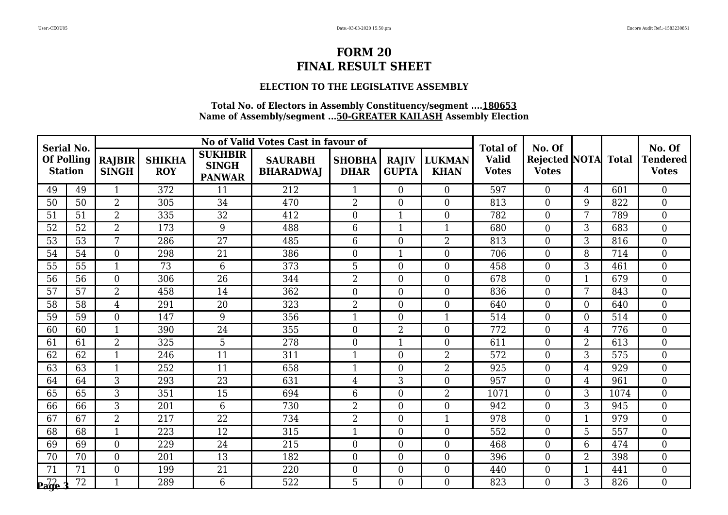### **ELECTION TO THE LEGISLATIVE ASSEMBLY**

| <b>Serial No.</b> |                   |                               |                             |                                                 | No of Valid Votes Cast in favour of |                              |                              |                              | <b>Total of</b>              | No. Of                                     |                |      | No. Of                          |
|-------------------|-------------------|-------------------------------|-----------------------------|-------------------------------------------------|-------------------------------------|------------------------------|------------------------------|------------------------------|------------------------------|--------------------------------------------|----------------|------|---------------------------------|
| <b>Station</b>    | <b>Of Polling</b> | <b>RAJBIR</b><br><b>SINGH</b> | <b>SHIKHA</b><br><b>ROY</b> | <b>SUKHBIR</b><br><b>SINGH</b><br><b>PANWAR</b> | <b>SAURABH</b><br><b>BHARADWAJ</b>  | <b>SHOBHA</b><br><b>DHAR</b> | <b>RAJIV</b><br><b>GUPTA</b> | <b>LUKMAN</b><br><b>KHAN</b> | <b>Valid</b><br><b>Votes</b> | <b>Rejected NOTA</b> Total<br><b>Votes</b> |                |      | <b>Tendered</b><br><b>Votes</b> |
| 49                | 49                | $\mathbf{1}$                  | 372                         | 11                                              | 212                                 | $\mathbf{1}$                 | $\overline{0}$               | $\overline{0}$               | 597                          | $\overline{0}$                             | $\overline{4}$ | 601  | $\overline{0}$                  |
| 50                | 50                | $\overline{2}$                | 305                         | 34                                              | 470                                 | $\overline{2}$               | $\overline{0}$               | $\Omega$                     | 813                          | $\overline{0}$                             | 9              | 822  | $\overline{0}$                  |
| 51                | 51                | $\overline{2}$                | 335                         | 32                                              | 412                                 | $\overline{0}$               | $\mathbf{1}$                 | $\theta$                     | 782                          | $\boldsymbol{0}$                           | 7              | 789  | $\overline{0}$                  |
| 52                | $\overline{52}$   | $\overline{2}$                | 173                         | 9                                               | 488                                 | $6\phantom{1}6$              | $\mathbf{1}$                 | $\mathbf{1}$                 | 680                          | $\boldsymbol{0}$                           | 3              | 683  | $\overline{0}$                  |
| 53                | 53                | 7                             | 286                         | 27                                              | 485                                 | 6                            | $\overline{0}$               | 2                            | 813                          | $\boldsymbol{0}$                           | 3              | 816  | $\overline{0}$                  |
| 54                | 54                | $\overline{0}$                | 298                         | 21                                              | 386                                 | $\overline{0}$               | $\mathbf{1}$                 | $\overline{0}$               | 706                          | $\boldsymbol{0}$                           | 8              | 714  | $\boldsymbol{0}$                |
| 55                | 55                | $\mathbf{1}$                  | 73                          | 6                                               | 373                                 | 5                            | $\theta$                     | $\theta$                     | 458                          | $\boldsymbol{0}$                           | 3              | 461  | $\overline{0}$                  |
| 56                | 56                | $\overline{0}$                | 306                         | $\overline{26}$                                 | 344                                 | $\overline{2}$               | $\overline{0}$               | $\overline{0}$               | 678                          | $\overline{0}$                             |                | 679  | $\overline{0}$                  |
| 57                | 57                | $\overline{2}$                | 458                         | 14                                              | $\overline{362}$                    | $\overline{0}$               | $\overline{0}$               | $\theta$                     | 836                          | $\boldsymbol{0}$                           | 7              | 843  | $\overline{0}$                  |
| 58                | 58                | 4                             | 291                         | 20                                              | 323                                 | $\overline{2}$               | $\Omega$                     | $\Omega$                     | 640                          | $\overline{0}$                             | $\Omega$       | 640  | $\overline{0}$                  |
| 59                | 59                | $\overline{0}$                | 147                         | 9                                               | 356                                 | $\mathbf{1}$                 | $\theta$                     | $\mathbf{1}$                 | 514                          | $\boldsymbol{0}$                           | $\theta$       | 514  | $\overline{0}$                  |
| 60                | 60                | 1                             | 390                         | 24                                              | 355                                 | $\boldsymbol{0}$             | $\overline{2}$               | $\theta$                     | 772                          | $\boldsymbol{0}$                           | 4              | 776  | $\boldsymbol{0}$                |
| 61                | 61                | $\overline{2}$                | 325                         | 5                                               | 278                                 | $\overline{0}$               | $\mathbf{1}$                 | $\theta$                     | 611                          | $\boldsymbol{0}$                           | $\overline{2}$ | 613  | $\overline{0}$                  |
| 62                | 62                | 1                             | 246                         | 11                                              | 311                                 | $\mathbf{1}$                 | $\overline{0}$               | $\overline{2}$               | 572                          | $\boldsymbol{0}$                           | 3              | 575  | $\boldsymbol{0}$                |
| 63                | 63                | $\mathbf{1}$                  | 252                         | 11                                              | 658                                 | $\overline{1}$               | $\overline{0}$               | $\overline{2}$               | 925                          | $\overline{0}$                             | 4              | 929  | $\overline{0}$                  |
| 64                | 64                | 3                             | 293                         | 23                                              | 631                                 | $\overline{4}$               | 3                            | $\Omega$                     | 957                          | $\overline{0}$                             | 4              | 961  | $\overline{0}$                  |
| 65                | 65                | 3                             | 351                         | 15                                              | 694                                 | 6                            | $\theta$                     | $\overline{2}$               | 1071                         | $\boldsymbol{0}$                           | 3              | 1074 | $\overline{0}$                  |
| 66                | 66                | $\overline{3}$                | 201                         | 6                                               | 730                                 | $\overline{2}$               | $\theta$                     | $\Omega$                     | 942                          | $\overline{0}$                             | 3              | 945  | $\theta$                        |
| 67                | 67                | $\overline{2}$                | 217                         | 22                                              | 734                                 | $\overline{2}$               | $\overline{0}$               | -1                           | 978                          | $\boldsymbol{0}$                           |                | 979  | $\boldsymbol{0}$                |
| 68                | 68                | 1                             | 223                         | 12                                              | 315                                 | $\mathbf{1}$                 | $\overline{0}$               | $\overline{0}$               | 552                          | $\boldsymbol{0}$                           | 5              | 557  | $\overline{0}$                  |
| 69                | 69                | $\overline{0}$                | 229                         | 24                                              | 215                                 | $\overline{0}$               | $\theta$                     | $\theta$                     | 468                          | $\overline{0}$                             | 6              | 474  | $\overline{0}$                  |
| 70                | 70                | $\Omega$                      | 201                         | 13                                              | 182                                 | $\overline{0}$               | $\overline{0}$               | $\overline{0}$               | 396                          | $\boldsymbol{0}$                           | $\overline{2}$ | 398  | $\boldsymbol{0}$                |
| 71                | 71                | $\overline{0}$                | 199                         | 21                                              | 220                                 | $\overline{0}$               | $\boldsymbol{0}$             | $\overline{0}$               | 440                          | $\boldsymbol{0}$                           | 1              | 441  | $\mathbf{0}$                    |
| <b>Page</b>       | 72                | $\mathbf{1}$                  | 289                         | 6                                               | 522                                 | 5                            | $\Omega$                     | $\Omega$                     | 823                          | $\Omega$                                   | 3              | 826  | $\theta$                        |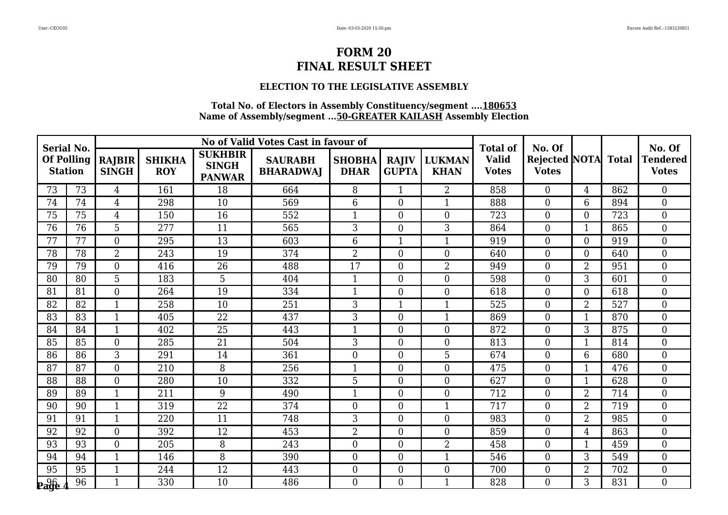#### **ELECTION TO THE LEGISLATIVE ASSEMBLY**

| <b>Serial No.</b>                   |    |                        |                             |                                                 | No of Valid Votes Cast in favour of |                              |                              |                              | <b>Total of</b>              | No. Of                                     |                |     | No. Of                          |
|-------------------------------------|----|------------------------|-----------------------------|-------------------------------------------------|-------------------------------------|------------------------------|------------------------------|------------------------------|------------------------------|--------------------------------------------|----------------|-----|---------------------------------|
| <b>Of Polling</b><br><b>Station</b> |    | RAJBIR<br><b>SINGH</b> | <b>SHIKHA</b><br><b>ROY</b> | <b>SUKHBIR</b><br><b>SINGH</b><br><b>PANWAR</b> | <b>SAURABH</b><br><b>BHARADWAI</b>  | <b>SHOBHA</b><br><b>DHAR</b> | <b>RAJIV</b><br><b>GUPTA</b> | <b>LUKMAN</b><br><b>KHAN</b> | <b>Valid</b><br><b>Votes</b> | <b>Rejected NOTA</b> Total<br><b>Votes</b> |                |     | <b>Tendered</b><br><b>Votes</b> |
| 73                                  | 73 | $\overline{4}$         | 161                         | 18                                              | 664                                 | 8                            | $\mathbf{1}$                 | $\overline{2}$               | 858                          | $\overline{0}$                             | 4              | 862 | $\overline{0}$                  |
| 74                                  | 74 | 4                      | 298                         | 10                                              | 569                                 | 6                            | $\overline{0}$               | $\mathbf 1$                  | 888                          | $\boldsymbol{0}$                           | 6              | 894 | $\overline{0}$                  |
| 75                                  | 75 | $\overline{4}$         | 150                         | 16                                              | 552                                 | $\mathbf{1}$                 | $\boldsymbol{0}$             | $\overline{0}$               | 723                          | $\boldsymbol{0}$                           | $\overline{0}$ | 723 | $\boldsymbol{0}$                |
| 76                                  | 76 | 5                      | 277                         | 11                                              | 565                                 | 3                            | $\theta$                     | 3                            | 864                          | $\boldsymbol{0}$                           |                | 865 | $\overline{0}$                  |
| 77                                  | 77 | $\overline{0}$         | 295                         | 13                                              | 603                                 | 6                            | $\mathbf 1$                  |                              | 919                          | $\boldsymbol{0}$                           | $\overline{0}$ | 919 | $\overline{0}$                  |
| 78                                  | 78 | $\overline{2}$         | 243                         | 19                                              | 374                                 | $\overline{2}$               | $\boldsymbol{0}$             | $\overline{0}$               | 640                          | $\boldsymbol{0}$                           | $\overline{0}$ | 640 | $\overline{0}$                  |
| 79                                  | 79 | $\Omega$               | 416                         | 26                                              | 488                                 | 17                           | $\theta$                     | $\overline{2}$               | 949                          | $\boldsymbol{0}$                           | $\overline{2}$ | 951 | $\overline{0}$                  |
| 80                                  | 80 | 5                      | 183                         | 5                                               | 404                                 | $\mathbf{1}$                 | $\overline{0}$               | $\Omega$                     | 598                          | $\boldsymbol{0}$                           | 3              | 601 | $\overline{0}$                  |
| 81                                  | 81 | $\overline{0}$         | 264                         | 19                                              | 334                                 | $\mathbf{1}$                 | $\boldsymbol{0}$             | $\overline{0}$               | 618                          | $\boldsymbol{0}$                           | $\overline{0}$ | 618 | $\mathbf{0}$                    |
| 82                                  | 82 | $\mathbf{1}$           | 258                         | 10                                              | 251                                 | 3                            | 1                            | $\mathbf{1}$                 | 525                          | $\boldsymbol{0}$                           | $\overline{2}$ | 527 | $\overline{0}$                  |
| 83                                  | 83 | 1                      | 405                         | 22                                              | 437                                 | 3                            | $\overline{0}$               | $\mathbf{1}$                 | 869                          | $\boldsymbol{0}$                           | 1              | 870 | $\overline{0}$                  |
| 84                                  | 84 | $\mathbf{1}$           | 402                         | 25                                              | 443                                 | $\overline{1}$               | $\overline{0}$               | $\theta$                     | 872                          | $\boldsymbol{0}$                           | 3              | 875 | $\overline{0}$                  |
| 85                                  | 85 | $\overline{0}$         | 285                         | 21                                              | 504                                 | 3                            | $\theta$                     | $\overline{0}$               | 813                          | $\boldsymbol{0}$                           | $\mathbf{1}$   | 814 | $\overline{0}$                  |
| 86                                  | 86 | 3                      | 291                         | 14                                              | 361                                 | $\boldsymbol{0}$             | $\theta$                     | 5                            | 674                          | $\boldsymbol{0}$                           | 6              | 680 | $\overline{0}$                  |
| 87                                  | 87 | $\overline{0}$         | 210                         | 8                                               | 256                                 | $\mathbf{1}$                 | $\overline{0}$               | $\theta$                     | 475                          | $\boldsymbol{0}$                           | 1              | 476 | $\overline{0}$                  |
| 88                                  | 88 | $\overline{0}$         | 280                         | 10                                              | 332                                 | 5                            | $\overline{0}$               | $\overline{0}$               | 627                          | $\boldsymbol{0}$                           | $\mathbf{1}$   | 628 | $\boldsymbol{0}$                |
| 89                                  | 89 | $\mathbf{1}$           | 211                         | 9                                               | 490                                 | $\mathbf{1}$                 | $\overline{0}$               | $\overline{0}$               | 712                          | $\boldsymbol{0}$                           | $\overline{2}$ | 714 | $\boldsymbol{0}$                |
| 90                                  | 90 | $\mathbf{1}$           | 319                         | $\overline{22}$                                 | 374                                 | $\Omega$                     | $\theta$                     | $\mathbf{1}$                 | 717                          | $\theta$                                   | $\overline{2}$ | 719 | $\overline{0}$                  |
| 91                                  | 91 | $\mathbf{1}$           | 220                         | 11                                              | 748                                 | 3                            | $\overline{0}$               | $\Omega$                     | 983                          | $\boldsymbol{0}$                           | $\overline{2}$ | 985 | $\overline{0}$                  |
| 92                                  | 92 | $\Omega$               | 392                         | 12                                              | 453                                 | $\overline{2}$               | $\overline{0}$               | $\overline{0}$               | 859                          | $\boldsymbol{0}$                           | 4              | 863 | $\overline{0}$                  |
| 93                                  | 93 | $\overline{0}$         | 205                         | 8                                               | 243                                 | $\overline{0}$               | $\theta$                     | $\overline{2}$               | 458                          | $\overline{0}$                             | 1              | 459 | $\theta$                        |
| 94                                  | 94 | 1                      | 146                         | 8                                               | 390                                 | $\overline{0}$               | $\overline{0}$               | $\mathbf 1$                  | 546                          | $\boldsymbol{0}$                           | 3              | 549 | $\overline{0}$                  |
| 95                                  | 95 | $\mathbf{1}$           | 244                         | 12                                              | 443                                 | $\overline{0}$               | $\boldsymbol{0}$             | $\overline{0}$               | 700                          | $\boldsymbol{0}$                           | $\overline{2}$ | 702 | $\mathbf{0}$                    |
| <b>Page</b>                         | 96 | $\mathbf{1}$           | 330                         | 10                                              | 486                                 | $\Omega$                     | $\theta$                     | $\mathbf{1}$                 | 828                          | $\Omega$                                   | 3              | 831 | $\theta$                        |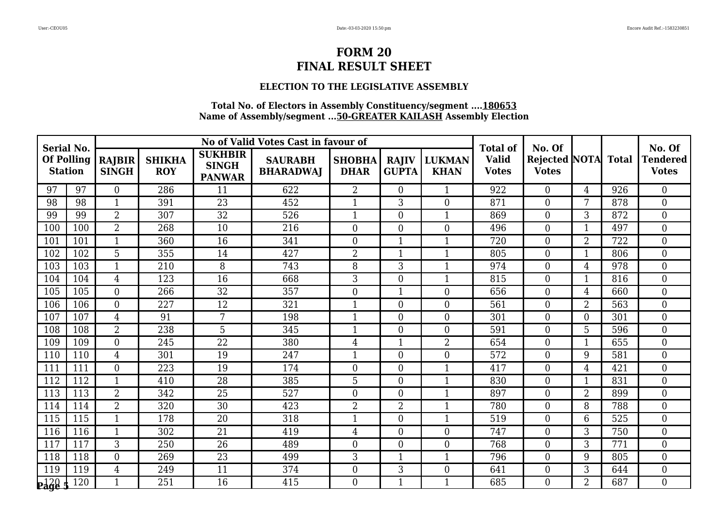### **ELECTION TO THE LEGISLATIVE ASSEMBLY**

| <b>Serial No.</b>                   |     |                        |                             |                                                 | No of Valid Votes Cast in favour of |                              |                              |                              | <b>Total of</b>              | No. Of                              |                |     | No. Of                          |
|-------------------------------------|-----|------------------------|-----------------------------|-------------------------------------------------|-------------------------------------|------------------------------|------------------------------|------------------------------|------------------------------|-------------------------------------|----------------|-----|---------------------------------|
| <b>Of Polling</b><br><b>Station</b> |     | RAJBIR<br><b>SINGH</b> | <b>SHIKHA</b><br><b>ROY</b> | <b>SUKHBIR</b><br><b>SINGH</b><br><b>PANWAR</b> | <b>SAURABH</b><br><b>BHARADWAI</b>  | <b>SHOBHA</b><br><b>DHAR</b> | <b>RAJIV</b><br><b>GUPTA</b> | <b>LUKMAN</b><br><b>KHAN</b> | <b>Valid</b><br><b>Votes</b> | Rejected NOTA Total<br><b>Votes</b> |                |     | <b>Tendered</b><br><b>Votes</b> |
| 97                                  | 97  | $\overline{0}$         | 286                         | 11                                              | 622                                 | $\overline{2}$               | $\theta$                     | $\mathbf{1}$                 | 922                          | $\overline{0}$                      | 4              | 926 | $\overline{0}$                  |
| 98                                  | 98  | 1                      | 391                         | 23                                              | 452                                 | 1                            | 3                            | $\theta$                     | 871                          | $\boldsymbol{0}$                    | 7              | 878 | $\overline{0}$                  |
| 99                                  | 99  | $\overline{2}$         | 307                         | 32                                              | 526                                 | $\mathbf{1}$                 | $\boldsymbol{0}$             | $\mathbf{1}$                 | 869                          | $\boldsymbol{0}$                    | 3              | 872 | $\overline{0}$                  |
| 100                                 | 100 | $\overline{2}$         | 268                         | 10                                              | 216                                 | $\overline{0}$               | $\theta$                     | $\theta$                     | 496                          | $\boldsymbol{0}$                    |                | 497 | $\overline{0}$                  |
| 101                                 | 101 | 1                      | 360                         | 16                                              | 341                                 | $\boldsymbol{0}$             | $\mathbf 1$                  |                              | 720                          | $\boldsymbol{0}$                    | $\overline{2}$ | 722 | $\overline{0}$                  |
| 102                                 | 102 | 5                      | 355                         | 14                                              | 427                                 | $\overline{2}$               | $\mathbf{1}$                 | $\mathbf{1}$                 | 805                          | $\boldsymbol{0}$                    | 1              | 806 | $\overline{0}$                  |
| 103                                 | 103 | $\mathbf{1}$           | 210                         | 8                                               | 743                                 | 8                            | 3                            | $\mathbf{1}$                 | 974                          | $\boldsymbol{0}$                    | 4              | 978 | $\overline{0}$                  |
| 104                                 | 104 | 4                      | 123                         | 16                                              | 668                                 | 3                            | $\overline{0}$               | $\mathbf{1}$                 | 815                          | $\boldsymbol{0}$                    | 1              | 816 | $\overline{0}$                  |
| 105                                 | 105 | $\overline{0}$         | 266                         | $\overline{32}$                                 | 357                                 | $\boldsymbol{0}$             | $\mathbf{1}$                 | $\theta$                     | 656                          | $\boldsymbol{0}$                    | 4              | 660 | $\mathbf{0}$                    |
| 106                                 | 106 | $\Omega$               | 227                         | 12                                              | 321                                 | $\mathbf{1}$                 | $\theta$                     | $\theta$                     | 561                          | $\boldsymbol{0}$                    | $\overline{2}$ | 563 | $\theta$                        |
| 107                                 | 107 | $\overline{4}$         | 91                          | 7                                               | 198                                 | $\overline{1}$               | $\overline{0}$               | $\theta$                     | 301                          | $\boldsymbol{0}$                    | $\overline{0}$ | 301 | $\overline{0}$                  |
| 108                                 | 108 | $\overline{2}$         | 238                         | 5                                               | 345                                 | $\overline{1}$               | $\overline{0}$               | $\theta$                     | 591                          | $\boldsymbol{0}$                    | 5              | 596 | $\overline{0}$                  |
| 109                                 | 109 | $\overline{0}$         | 245                         | 22                                              | 380                                 | $\overline{4}$               | $\mathbf{1}$                 | $\overline{2}$               | 654                          | $\boldsymbol{0}$                    | $\mathbf{1}$   | 655 | $\overline{0}$                  |
| 110                                 | 110 | 4                      | 301                         | 19                                              | 247                                 | $\mathbf{1}$                 | $\theta$                     | $\Omega$                     | 572                          | $\boldsymbol{0}$                    | 9              | 581 | $\overline{0}$                  |
| 111                                 | 111 | $\overline{0}$         | 223                         | 19                                              | 174                                 | $\boldsymbol{0}$             | $\boldsymbol{0}$             | $\mathbf 1$                  | 417                          | $\boldsymbol{0}$                    | 4              | 421 | $\theta$                        |
| 112                                 | 112 | $\mathbf{1}$           | 410                         | 28                                              | 385                                 | 5                            | $\overline{0}$               | $\mathbf{1}$                 | 830                          | $\boldsymbol{0}$                    | 1              | 831 | $\overline{0}$                  |
| 113                                 | 113 | $\overline{2}$         | 342                         | 25                                              | 527                                 | $\boldsymbol{0}$             | $\boldsymbol{0}$             | $\mathbf{1}$                 | 897                          | $\boldsymbol{0}$                    | $\overline{2}$ | 899 | $\boldsymbol{0}$                |
| 114                                 | 114 | $\overline{2}$         | 320                         | $\overline{30}$                                 | 423                                 | $\overline{2}$               | $\overline{2}$               | $\mathbf{1}$                 | 780                          | $\theta$                            | 8              | 788 | $\overline{0}$                  |
| 115                                 | 115 | $\mathbf{1}$           | 178                         | 20                                              | 318                                 | $\mathbf{1}$                 | $\overline{0}$               | $\mathbf 1$                  | 519                          | $\boldsymbol{0}$                    | 6              | 525 | $\overline{0}$                  |
| 116                                 | 116 | $\mathbf{1}$           | 302                         | 21                                              | 419                                 | $\overline{4}$               | $\overline{0}$               | $\theta$                     | 747                          | $\boldsymbol{0}$                    | 3              | 750 | $\overline{0}$                  |
| 117                                 | 117 | 3                      | 250                         | 26                                              | 489                                 | $\overline{0}$               | $\theta$                     | $\Omega$                     | 768                          | $\overline{0}$                      | 3              | 771 | $\theta$                        |
| 118                                 | 118 | $\Omega$               | 269                         | 23                                              | 499                                 | 3                            | 1                            | $\mathbf{1}$                 | 796                          | $\boldsymbol{0}$                    | 9              | 805 | $\overline{0}$                  |
| 119                                 | 119 | $\overline{4}$         | 249                         | 11                                              | 374                                 | $\boldsymbol{0}$             | 3                            | $\overline{0}$               | 641                          | $\boldsymbol{0}$                    | 3              | 644 | $\boldsymbol{0}$                |
| $p_4^1$                             | 120 | $\mathbf{1}$           | 251                         | 16                                              | 415                                 | $\Omega$                     | $\mathbf{1}$                 | $\mathbf{1}$                 | 685                          | $\Omega$                            | $\overline{2}$ | 687 | $\theta$                        |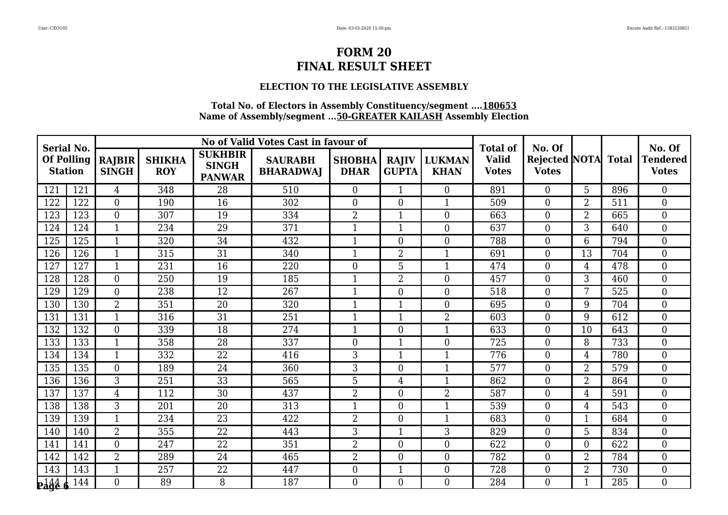#### **ELECTION TO THE LEGISLATIVE ASSEMBLY**

| <b>Serial No.</b>                   |     |                               |                             |                                                 | No of Valid Votes Cast in favour of |                              |                              |                              | <b>Total of</b>              | No. Of                                     |                |     | No. Of                          |
|-------------------------------------|-----|-------------------------------|-----------------------------|-------------------------------------------------|-------------------------------------|------------------------------|------------------------------|------------------------------|------------------------------|--------------------------------------------|----------------|-----|---------------------------------|
| <b>Of Polling</b><br><b>Station</b> |     | <b>RAJBIR</b><br><b>SINGH</b> | <b>SHIKHA</b><br><b>ROY</b> | <b>SUKHBIR</b><br><b>SINGH</b><br><b>PANWAR</b> | <b>SAURABH</b><br><b>BHARADWAJ</b>  | <b>SHOBHA</b><br><b>DHAR</b> | <b>RAJIV</b><br><b>GUPTA</b> | <b>LUKMAN</b><br><b>KHAN</b> | <b>Valid</b><br><b>Votes</b> | <b>Rejected NOTA</b> Total<br><b>Votes</b> |                |     | <b>Tendered</b><br><b>Votes</b> |
| 121                                 | 121 | 4                             | 348                         | 28                                              | 510                                 | $\overline{0}$               | $\mathbf{1}$                 | $\overline{0}$               | 891                          | $\overline{0}$                             | 5              | 896 | $\overline{0}$                  |
| 122                                 | 122 | $\overline{0}$                | 190                         | 16                                              | 302                                 | $\overline{0}$               | $\overline{0}$               | $\mathbf{1}$                 | 509                          | $\overline{0}$                             | $\overline{2}$ | 511 | $\overline{0}$                  |
| 123                                 | 123 | $\overline{0}$                | 307                         | 19                                              | 334                                 | $\overline{2}$               | $\mathbf{1}$                 | $\theta$                     | 663                          | $\boldsymbol{0}$                           | $\overline{2}$ | 665 | $\overline{0}$                  |
| 124                                 | 124 | $\mathbf{1}$                  | 234                         | 29                                              | 371                                 | $\mathbf{1}$                 | $\mathbf{1}$                 | $\Omega$                     | 637                          | $\boldsymbol{0}$                           | 3              | 640 | $\overline{0}$                  |
| 125                                 | 125 | $\mathbf{1}$                  | 320                         | 34                                              | 432                                 | $\mathbf 1$                  | $\theta$                     | $\overline{0}$               | 788                          | $\overline{0}$                             | 6              | 794 | $\overline{0}$                  |
| 126                                 | 126 | $\mathbf{1}$                  | 315                         | 31                                              | 340                                 | $\mathbf{1}$                 | $\overline{2}$               | $\mathbf{1}$                 | 691                          | $\boldsymbol{0}$                           | 13             | 704 | $\boldsymbol{0}$                |
| 127                                 | 127 | $\mathbf{1}$                  | 231                         | 16                                              | 220                                 | $\overline{0}$               | 5                            | $\mathbf{1}$                 | 474                          | $\boldsymbol{0}$                           | 4              | 478 | $\overline{0}$                  |
| 128                                 | 128 | $\overline{0}$                | 250                         | 19                                              | 185                                 |                              | $\overline{2}$               | $\overline{0}$               | 457                          | $\overline{0}$                             | 3              | 460 | $\overline{0}$                  |
| 129                                 | 129 | $\overline{0}$                | 238                         | $\overline{12}$                                 | 267                                 | $\mathbf{1}$                 | $\overline{0}$               | $\theta$                     | 518                          | $\boldsymbol{0}$                           | 7              | 525 | $\overline{0}$                  |
| 130                                 | 130 | $\overline{2}$                | 351                         | 20                                              | 320                                 | $\mathbf{1}$                 | $\mathbf{1}$                 | $\Omega$                     | 695                          | $\overline{0}$                             | 9              | 704 | $\theta$                        |
| 131                                 | 131 | 1                             | 316                         | 31                                              | 251                                 | 1                            | $\mathbf{1}$                 | $\overline{2}$               | 603                          | $\boldsymbol{0}$                           | 9              | 612 | $\overline{0}$                  |
| 132                                 | 132 | $\overline{0}$                | 339                         | 18                                              | 274                                 | $\mathbf{1}$                 | $\overline{0}$               | $\mathbf{1}$                 | 633                          | $\boldsymbol{0}$                           | 10             | 643 | $\mathbf{0}$                    |
| 133                                 | 133 | $\mathbf{1}$                  | 358                         | 28                                              | 337                                 | $\overline{0}$               | $\mathbf{1}$                 | $\theta$                     | 725                          | $\boldsymbol{0}$                           | 8              | 733 | $\overline{0}$                  |
| 134                                 | 134 | $\mathbf{1}$                  | 332                         | 22                                              | 416                                 | 3                            | $\mathbf{1}$                 | $\mathbf{1}$                 | 776                          | $\boldsymbol{0}$                           | $\overline{4}$ | 780 | $\overline{0}$                  |
| 135                                 | 135 | $\overline{0}$                | 189                         | 24                                              | 360                                 | 3                            | $\overline{0}$               | $\mathbf{1}$                 | 577                          | $\overline{0}$                             | $\overline{2}$ | 579 | $\overline{0}$                  |
| 136                                 | 136 | 3                             | 251                         | 33                                              | 565                                 | 5                            | $\overline{4}$               | $\mathbf{1}$                 | 862                          | $\boldsymbol{0}$                           | $\overline{2}$ | 864 | $\overline{0}$                  |
| 137                                 | 137 | 4                             | 112                         | 30                                              | 437                                 | $\overline{2}$               | $\theta$                     | 2                            | 587                          | $\boldsymbol{0}$                           | 4              | 591 | $\overline{0}$                  |
| 138                                 | 138 | 3                             | 201                         | $\overline{20}$                                 | 313                                 | $\mathbf{1}$                 | $\theta$                     | $\mathbf{1}$                 | 539                          | $\overline{0}$                             | 4              | 543 | $\theta$                        |
| 139                                 | 139 | $\mathbf{1}$                  | 234                         | 23                                              | 422                                 | $\overline{2}$               | $\overline{0}$               | -1                           | 683                          | $\boldsymbol{0}$                           |                | 684 | $\overline{0}$                  |
| 140                                 | 140 | $\overline{2}$                | 355                         | 22                                              | 443                                 | 3                            | $\mathbf{1}$                 | 3                            | 829                          | $\boldsymbol{0}$                           | 5              | 834 | $\overline{0}$                  |
| 141                                 | 141 | $\overline{0}$                | 247                         | 22                                              | 351                                 | $\overline{2}$               | $\theta$                     | $\Omega$                     | 622                          | $\overline{0}$                             | $\overline{0}$ | 622 | $\theta$                        |
| 142                                 | 142 | $\overline{2}$                | 289                         | 24                                              | 465                                 | $\overline{2}$               | $\overline{0}$               | $\overline{0}$               | 782                          | $\boldsymbol{0}$                           | $\overline{2}$ | 784 | $\overline{0}$                  |
| 143                                 | 143 | $\mathbf{1}$                  | 257                         | 22                                              | 447                                 | $\overline{0}$               | $\mathbf{1}$                 | $\overline{0}$               | 728                          | $\boldsymbol{0}$                           | $\overline{2}$ | 730 | $\boldsymbol{0}$                |
| $\frac{144}{2}$                     | 144 | $\Omega$                      | 89                          | 8                                               | 187                                 | $\Omega$                     | $\Omega$                     | $\Omega$                     | 284                          | $\Omega$                                   |                | 285 | $\theta$                        |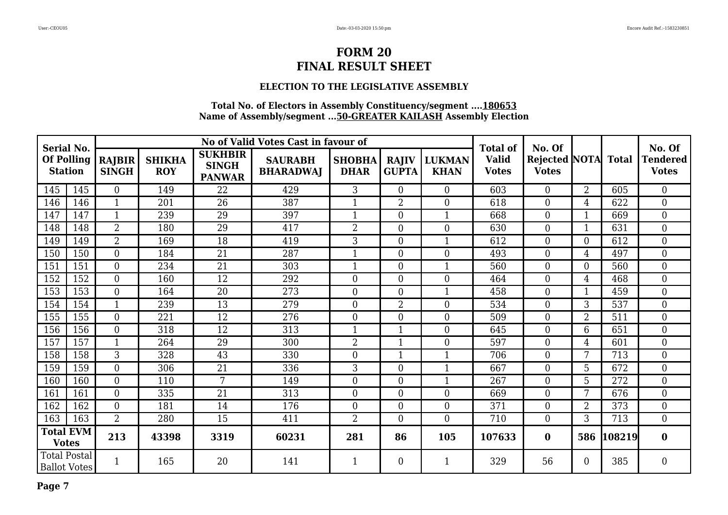### **ELECTION TO THE LEGISLATIVE ASSEMBLY**

| <b>Serial No.</b>                          |                   |                               |                             |                                                 | No of Valid Votes Cast in favour of |                              |                              |                              | <b>Total of</b>              | No. Of                                     |                  |        | No. Of                          |
|--------------------------------------------|-------------------|-------------------------------|-----------------------------|-------------------------------------------------|-------------------------------------|------------------------------|------------------------------|------------------------------|------------------------------|--------------------------------------------|------------------|--------|---------------------------------|
| <b>Station</b>                             | <b>Of Polling</b> | <b>RAJBIR</b><br><b>SINGH</b> | <b>SHIKHA</b><br><b>ROY</b> | <b>SUKHBIR</b><br><b>SINGH</b><br><b>PANWAR</b> | <b>SAURABH</b><br><b>BHARADWAJ</b>  | <b>SHOBHA</b><br><b>DHAR</b> | <b>RAJIV</b><br><b>GUPTA</b> | <b>LUKMAN</b><br><b>KHAN</b> | <b>Valid</b><br><b>Votes</b> | <b>Rejected NOTA</b> Total<br><b>Votes</b> |                  |        | <b>Tendered</b><br><b>Votes</b> |
| 145                                        | 145               | $\overline{0}$                | 149                         | 22                                              | 429                                 | 3                            | $\boldsymbol{0}$             | $\theta$                     | 603                          | $\overline{0}$                             | 2                | 605    | $\overline{0}$                  |
| 146                                        | 146               |                               | 201                         | 26                                              | 387                                 |                              | $\overline{2}$               | $\theta$                     | 618                          | $\boldsymbol{0}$                           | 4                | 622    | $\boldsymbol{0}$                |
| 147                                        | 147               | $\mathbf{1}$                  | 239                         | 29                                              | 397                                 | $\mathbf{1}$                 | $\boldsymbol{0}$             |                              | 668                          | $\boldsymbol{0}$                           | 1                | 669    | $\boldsymbol{0}$                |
| 148                                        | 148               | $\overline{2}$                | 180                         | 29                                              | 417                                 | $\overline{2}$               | $\overline{0}$               | $\theta$                     | 630                          | $\boldsymbol{0}$                           | $\mathbf{1}$     | 631    | $\overline{0}$                  |
| 149                                        | 149               | $\overline{2}$                | 169                         | 18                                              | 419                                 | 3                            | $\overline{0}$               | 1                            | 612                          | $\boldsymbol{0}$                           | $\overline{0}$   | 612    | $\overline{0}$                  |
| 150                                        | 150               | $\overline{0}$                | 184                         | 21                                              | 287                                 |                              | $\boldsymbol{0}$             | $\theta$                     | 493                          | $\boldsymbol{0}$                           | 4                | 497    | $\overline{0}$                  |
| 151                                        | 151               | $\overline{0}$                | 234                         | 21                                              | 303                                 | 1                            | $\overline{0}$               |                              | 560                          | $\boldsymbol{0}$                           | $\overline{0}$   | 560    | $\overline{0}$                  |
| 152                                        | 152               | $\boldsymbol{0}$              | 160                         | 12                                              | 292                                 | $\overline{0}$               | $\boldsymbol{0}$             | $\boldsymbol{0}$             | 464                          | $\boldsymbol{0}$                           | 4                | 468    | $\boldsymbol{0}$                |
| 153                                        | 153               | $\Omega$                      | 164                         | 20                                              | 273                                 | $\theta$                     | $\overline{0}$               | $\mathbf{1}$                 | 458                          | $\overline{0}$                             | $\mathbf{1}$     | 459    | $\overline{0}$                  |
| 154                                        | 154               | $\mathbf{1}$                  | 239                         | 13                                              | 279                                 | $\overline{0}$               | $\overline{2}$               | $\theta$                     | 534                          | $\boldsymbol{0}$                           | 3                | 537    | $\overline{0}$                  |
| 155                                        | 155               | $\overline{0}$                | 221                         | 12                                              | 276                                 | $\overline{0}$               | $\overline{0}$               | $\overline{0}$               | 509                          | $\boldsymbol{0}$                           | $\overline{2}$   | 511    | $\overline{0}$                  |
| 156                                        | 156               | $\overline{0}$                | 318                         | 12                                              | 313                                 | $\mathbf{1}$                 | $\mathbf{1}$                 | $\theta$                     | 645                          | $\boldsymbol{0}$                           | 6                | 651    | $\overline{0}$                  |
| 157                                        | 157               | $\mathbf{1}$                  | 264                         | 29                                              | 300                                 | $\overline{2}$               | $\mathbf{1}$                 | $\overline{0}$               | 597                          | $\boldsymbol{0}$                           | 4                | 601    | $\mathbf{0}$                    |
| 158                                        | 158               | 3                             | 328                         | 43                                              | 330                                 | $\overline{0}$               | $\mathbf{1}$                 | $\mathbf 1$                  | 706                          | $\overline{0}$                             | 7                | 713    | $\overline{0}$                  |
| 159                                        | 159               | $\overline{0}$                | 306                         | 21                                              | 336                                 | 3                            | $\boldsymbol{0}$             |                              | 667                          | $\boldsymbol{0}$                           | 5                | 672    | $\overline{0}$                  |
| 160                                        | 160               | $\overline{0}$                | 110                         | 7                                               | 149                                 | $\boldsymbol{0}$             | $\boldsymbol{0}$             |                              | 267                          | $\boldsymbol{0}$                           | 5                | 272    | $\boldsymbol{0}$                |
| 161                                        | 161               | $\overline{0}$                | 335                         | 21                                              | 313                                 | $\overline{0}$               | $\boldsymbol{0}$             | $\overline{0}$               | 669                          | $\boldsymbol{0}$                           | 7                | 676    | $\mathbf{0}$                    |
| 162                                        | 162               | $\overline{0}$                | 181                         | 14                                              | 176                                 | $\overline{0}$               | $\overline{0}$               | $\theta$                     | 371                          | $\boldsymbol{0}$                           | $\overline{2}$   | 373    | $\overline{0}$                  |
| 163                                        | 163               | $\overline{2}$                | 280                         | 15                                              | 411                                 | 2                            | $\overline{0}$               | $\theta$                     | 710                          | $\overline{0}$                             | 3                | 713    | $\overline{0}$                  |
| <b>Total EVM</b><br><b>Votes</b>           |                   | 213                           | 43398                       | 3319                                            | 60231                               | 281                          | 86                           | 105                          | 107633                       | $\bf{0}$                                   | 586              | 108219 | $\bf{0}$                        |
| <b>Total Postal</b><br><b>Ballot Votes</b> |                   | $\mathbf{1}$                  | 165                         | 20                                              | 141                                 | $\mathbf{1}$                 | $\boldsymbol{0}$             | 1                            | 329                          | 56                                         | $\boldsymbol{0}$ | 385    | $\boldsymbol{0}$                |